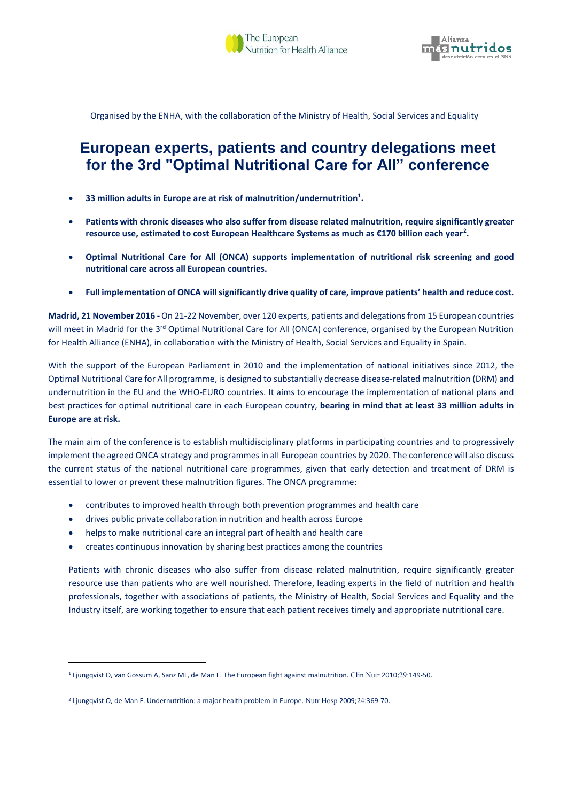

Organised by the ENHA, with the collaboration of the Ministry of Health, Social Services and Equality

## **European experts, patients and country delegations meet for the 3rd "Optimal Nutritional Care for All" conference**

- **33 million adults in Europe are at risk of malnutrition/undernutrition<sup>1</sup> .**
- **Patients with chronic diseases who also suffer from disease related malnutrition, require significantly greater resource use, estimated to cost European Healthcare Systems as much as €170 billion each year<sup>2</sup> .**
- **Optimal Nutritional Care for All (ONCA) supports implementation of nutritional risk screening and good nutritional care across all European countries.**
- **Full implementation of ONCA will significantly drive quality of care, improve patients' health and reduce cost.**

**Madrid, 21 November 2016 -**On 21-22 November, over 120 experts, patients and delegations from 15 European countries will meet in Madrid for the 3<sup>rd</sup> Optimal Nutritional Care for All (ONCA) conference, organised by the European Nutrition for Health Alliance (ENHA), in collaboration with the Ministry of Health, Social Services and Equality in Spain.

With the support of the European Parliament in 2010 and the implementation of national initiatives since 2012, the Optimal Nutritional Care for All programme, is designed to substantially decrease disease-related malnutrition (DRM) and undernutrition in the EU and the WHO-EURO countries. It aims to encourage the implementation of national plans and best practices for optimal nutritional care in each European country, **bearing in mind that at least 33 million adults in Europe are at risk.**

The main aim of the conference is to establish multidisciplinary platforms in participating countries and to progressively implement the agreed ONCA strategy and programmes in all European countries by 2020. The conference will also discuss the current status of the national nutritional care programmes, given that early detection and treatment of DRM is essential to lower or prevent these malnutrition figures. The ONCA programme:

- contributes to improved health through both prevention programmes and health care
- drives public private collaboration in nutrition and health across Europe
- helps to make nutritional care an integral part of health and health care
- creates continuous innovation by sharing best practices among the countries

Patients with chronic diseases who also suffer from disease related malnutrition, require significantly greater resource use than patients who are well nourished. Therefore, leading experts in the field of nutrition and health professionals, together with associations of patients, the Ministry of Health, Social Services and Equality and the Industry itself, are working together to ensure that each patient receives timely and appropriate nutritional care.

**.** 

<sup>1</sup> Ljungqvist O, van Gossum A, Sanz ML, de Man F. The European fight against malnutrition. Clin Nutr 2010;29:149-50.

<sup>2</sup> Ljungqvist O, de Man F. Undernutrition: a major health problem in Europe. Nutr Hosp 2009;24:369-70.